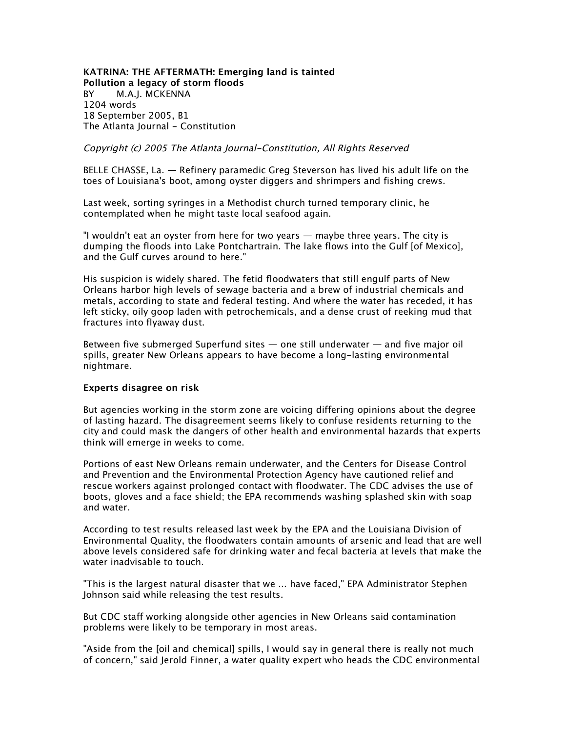**KATRINA: THE AFTERMATH: Emerging land is tainted Pollution a legacy of storm floods** *BY M.A.J. MCKENNA 1204 words 18 September 2005, B1 The Atlanta Journal - Constitution*

Copyright (c) 2005 The Atlanta Journal-Constitution, All Rights Reserved

*BELLE CHASSE, La. — Refinery paramedic Greg Steverson has lived his adult life on the toes of Louisiana's boot, among oyster diggers and shrimpers and fishing crews.*

*Last week, sorting syringes in a Methodist church turned temporary clinic, he contemplated when he might taste local seafood again.*

*"I wouldn't eat an oyster from here for two years — maybe three years. The city is dumping the floods into Lake Pontchartrain. The lake flows into the Gulf [of Mexico], and the Gulf curves around to here."*

*His suspicion is widely shared. The fetid floodwaters that still engulf parts of New Orleans harbor high levels of sewage bacteria and a brew of industrial chemicals and metals, according to state and federal testing. And where the water has receded, it has*  left sticky, oily goop laden with petrochemicals, and a dense crust of reeking mud that *fractures into flyaway dust.*

*Between five submerged Superfund sites — one still underwater — and five major oil spills, greater New Orleans appears to have become a long-lasting environmental nightmare.*

## **Experts disagree on risk**

*But agencies working in the storm zone are voicing differing opinions about the degree of lasting hazard. The disagreement seems likely to confuse residents returning to the city and could mask the dangers of other health and environmental hazards that experts think will emerge in weeks to come.*

Portions of east New Orleans remain underwater, and the Centers for Disease Control *and Prevention and the Environmental Protection Agency have cautioned relief and rescue workers against prolonged contact with floodwater. The CDC advises the use of boots, gloves and a face shield; the EPA recommends washing splashed skin with soap and water.*

*According to test results released last week by the EPA and the Louisiana Division of Environmental Quality, the floodwaters contain amounts of arsenic and lead that are well above levels considered safe for drinking water and fecal bacteria at levels that make the water inadvisable to touch.*

*"This is the largest natural disaster that we ... have faced," EPA Administrator Stephen Johnson said while releasing the test results.*

*But CDC staff working alongside other agencies in New Orleans said contamination problems were likely to be temporary in most areas.*

*"Aside from the [oil and chemical] spills, I would say in general there is really not much of concern," said Jerold Finner, a water quality expert who heads the CDC environmental*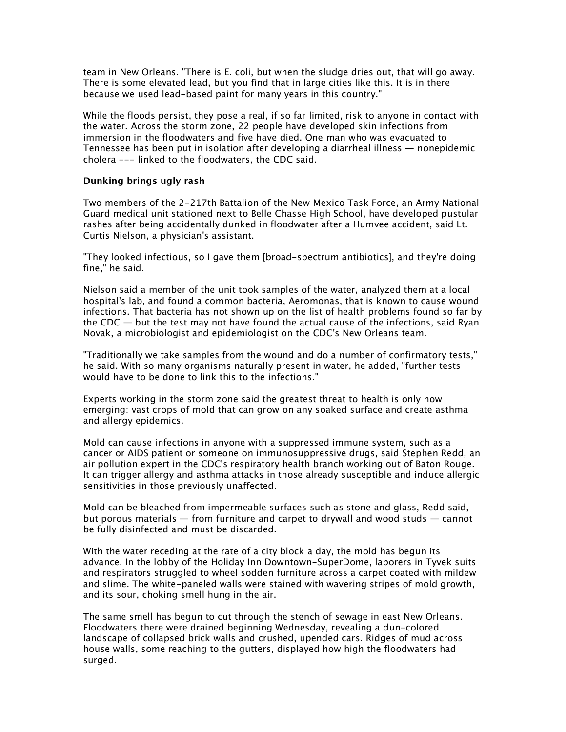*team in New Orleans. "There is E. coli, but when the sludge dries out, that will go away. There is some elevated lead, but you find that in large cities like this. It is in there because we used lead-based paint for many years in this country."*

*While the floods persist, they pose a real, if so far limited, risk to anyone in contact with the water. Across the storm zone, 22 people have developed skin infections from immersion in the floodwaters and five have died. One man who was evacuated to Tennessee has been put in isolation after developing a diarrheal illness — nonepidemic cholera --- linked to the floodwaters, the CDC said.*

## **Dunking brings ugly rash**

*Two members of the 2-217th Battalion of the New Mexico Task Force, an Army National Guard medical unit stationed next to Belle Chasse High School, have developed pustular rashes after being accidentally dunked in floodwater after a Humvee accident, said Lt. Curtis Nielson, a physician's assistant.*

*"They looked infectious, so I gave them [broad-spectrum antibiotics], and they're doing fine," he said.*

*Nielson said a member of the unit took samples of the water, analyzed them at a local hospital's lab, and found a common bacteria, Aeromonas, that is known to cause wound infections. That bacteria has not shown up on the list of health problems found so far by the CDC — but the test may not have found the actual cause of the infections, said Ryan Novak, a microbiologist and epidemiologist on the CDC's New Orleans team.*

*"Traditionally we take samples from the wound and do a number of confirmatory tests," he said. With so many organisms naturally present in water, he added, "further tests would have to be done to link this to the infections."*

*Experts working in the storm zone said the greatest threat to health is only now emerging: vast crops of mold that can grow on any soaked surface and create asthma and allergy epidemics.*

*Mold can cause infections in anyone with a suppressed immune system, such as a cancer or AIDS patient or someone on immunosuppressive drugs, said Stephen Redd, an air pollution expert in the CDC's respiratory health branch working out of Baton Rouge. It can trigger allergy and asthma attacks in those already susceptible and induce allergic sensitivities in those previously unaffected.*

*Mold can be bleached from impermeable surfaces such as stone and glass, Redd said, but porous materials — from furniture and carpet to drywall and wood studs — cannot be fully disinfected and must be discarded.*

*With the water receding at the rate of a city block a day, the mold has begun its advance. In the lobby of the Holiday Inn Downtown-SuperDome, laborers in Tyvek suits and respirators struggled to wheel sodden furniture across a carpet coated with mildew and slime. The white-paneled walls were stained with wavering stripes of mold growth, and its sour, choking smell hung in the air.*

*The same smell has begun to cut through the stench of sewage in east New Orleans. Floodwaters there were drained beginning Wednesday, revealing a dun-colored landscape of collapsed brick walls and crushed, upended cars. Ridges of mud across house walls, some reaching to the gutters, displayed how high the floodwaters had surged.*